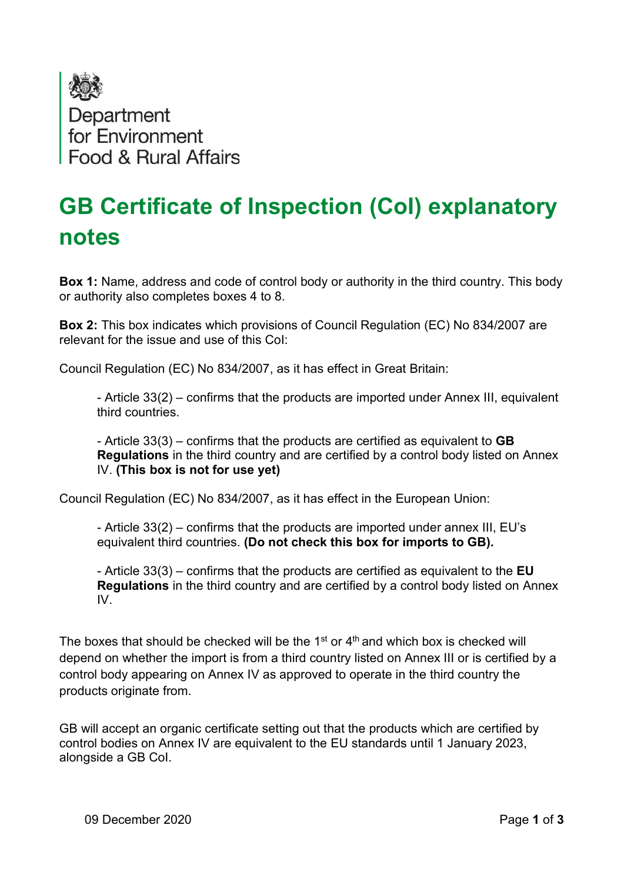

## GB Certificate of Inspection (CoI) explanatory notes

Box 1: Name, address and code of control body or authority in the third country. This body or authority also completes boxes 4 to 8.

Box 2: This box indicates which provisions of Council Regulation (EC) No 834/2007 are relevant for the issue and use of this CoI:

Council Regulation (EC) No 834/2007, as it has effect in Great Britain:

- Article 33(2) – confirms that the products are imported under Annex III, equivalent third countries.

- Article  $33(3)$  – confirms that the products are certified as equivalent to **GB** Regulations in the third country and are certified by a control body listed on Annex IV. (This box is not for use yet)

Council Regulation (EC) No 834/2007, as it has effect in the European Union:

- Article 33(2) – confirms that the products are imported under annex III, EU's equivalent third countries. (Do not check this box for imports to GB).

- Article  $33(3)$  – confirms that the products are certified as equivalent to the EU Regulations in the third country and are certified by a control body listed on Annex IV.

The boxes that should be checked will be the  $1<sup>st</sup>$  or  $4<sup>th</sup>$  and which box is checked will depend on whether the import is from a third country listed on Annex III or is certified by a control body appearing on Annex IV as approved to operate in the third country the products originate from.

GB will accept an organic certificate setting out that the products which are certified by control bodies on Annex IV are equivalent to the EU standards until 1 January 2023, alongside a GB CoI.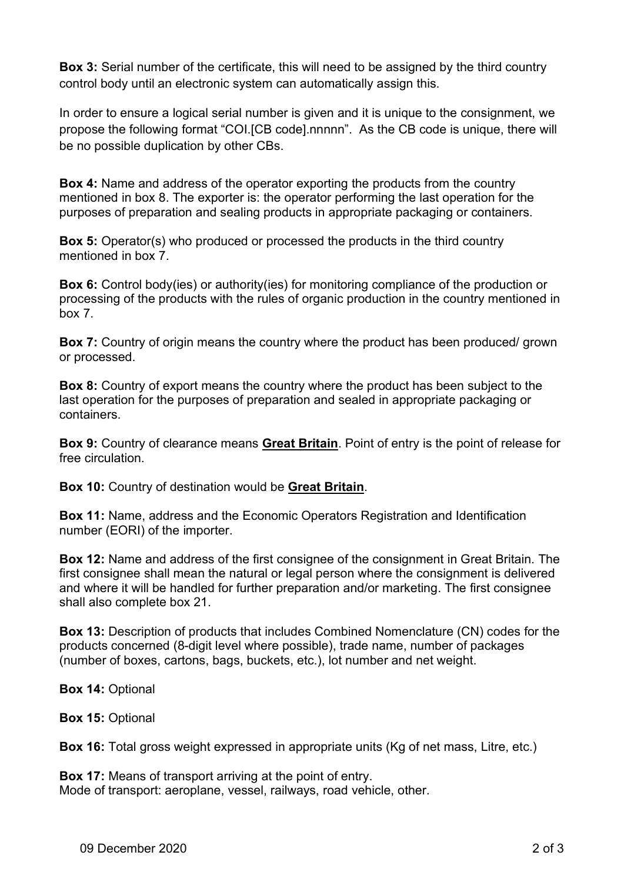Box 3: Serial number of the certificate, this will need to be assigned by the third country control body until an electronic system can automatically assign this.

In order to ensure a logical serial number is given and it is unique to the consignment, we propose the following format "COI.[CB code].nnnnn". As the CB code is unique, there will be no possible duplication by other CBs.

Box 4: Name and address of the operator exporting the products from the country mentioned in box 8. The exporter is: the operator performing the last operation for the purposes of preparation and sealing products in appropriate packaging or containers.

Box 5: Operator(s) who produced or processed the products in the third country mentioned in box 7.

Box 6: Control body(ies) or authority(ies) for monitoring compliance of the production or processing of the products with the rules of organic production in the country mentioned in box 7.

Box 7: Country of origin means the country where the product has been produced/ grown or processed.

Box 8: Country of export means the country where the product has been subject to the last operation for the purposes of preparation and sealed in appropriate packaging or containers.

Box 9: Country of clearance means Great Britain. Point of entry is the point of release for free circulation.

Box 10: Country of destination would be Great Britain.

Box 11: Name, address and the Economic Operators Registration and Identification number (EORI) of the importer.

Box 12: Name and address of the first consignee of the consignment in Great Britain. The first consignee shall mean the natural or legal person where the consignment is delivered and where it will be handled for further preparation and/or marketing. The first consignee shall also complete box 21.

Box 13: Description of products that includes Combined Nomenclature (CN) codes for the products concerned (8-digit level where possible), trade name, number of packages (number of boxes, cartons, bags, buckets, etc.), lot number and net weight.

Box 14: Optional

Box 15: Optional

Box 16: Total gross weight expressed in appropriate units (Kg of net mass, Litre, etc.)

Box 17: Means of transport arriving at the point of entry. Mode of transport: aeroplane, vessel, railways, road vehicle, other.